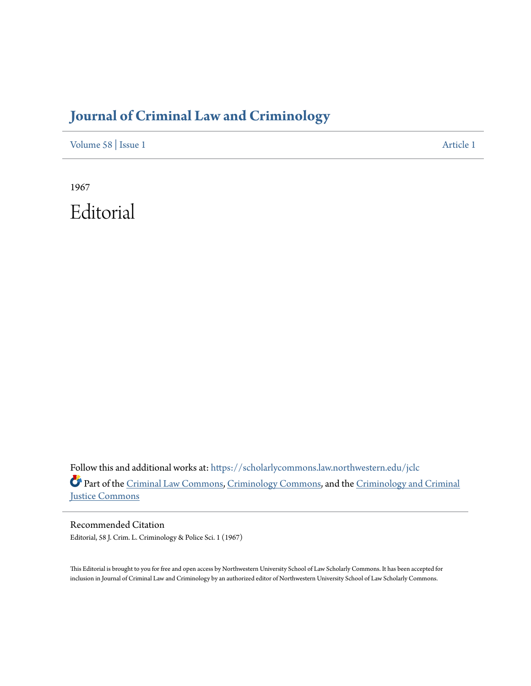## **[Journal of Criminal Law and Criminology](https://scholarlycommons.law.northwestern.edu/jclc?utm_source=scholarlycommons.law.northwestern.edu%2Fjclc%2Fvol58%2Fiss1%2F1&utm_medium=PDF&utm_campaign=PDFCoverPages)**

[Volume 58](https://scholarlycommons.law.northwestern.edu/jclc/vol58?utm_source=scholarlycommons.law.northwestern.edu%2Fjclc%2Fvol58%2Fiss1%2F1&utm_medium=PDF&utm_campaign=PDFCoverPages) | [Issue 1](https://scholarlycommons.law.northwestern.edu/jclc/vol58/iss1?utm_source=scholarlycommons.law.northwestern.edu%2Fjclc%2Fvol58%2Fiss1%2F1&utm_medium=PDF&utm_campaign=PDFCoverPages) [Article 1](https://scholarlycommons.law.northwestern.edu/jclc/vol58/iss1/1?utm_source=scholarlycommons.law.northwestern.edu%2Fjclc%2Fvol58%2Fiss1%2F1&utm_medium=PDF&utm_campaign=PDFCoverPages)

1967 Editorial

Follow this and additional works at: [https://scholarlycommons.law.northwestern.edu/jclc](https://scholarlycommons.law.northwestern.edu/jclc?utm_source=scholarlycommons.law.northwestern.edu%2Fjclc%2Fvol58%2Fiss1%2F1&utm_medium=PDF&utm_campaign=PDFCoverPages) Part of the [Criminal Law Commons](http://network.bepress.com/hgg/discipline/912?utm_source=scholarlycommons.law.northwestern.edu%2Fjclc%2Fvol58%2Fiss1%2F1&utm_medium=PDF&utm_campaign=PDFCoverPages), [Criminology Commons](http://network.bepress.com/hgg/discipline/417?utm_source=scholarlycommons.law.northwestern.edu%2Fjclc%2Fvol58%2Fiss1%2F1&utm_medium=PDF&utm_campaign=PDFCoverPages), and the [Criminology and Criminal](http://network.bepress.com/hgg/discipline/367?utm_source=scholarlycommons.law.northwestern.edu%2Fjclc%2Fvol58%2Fiss1%2F1&utm_medium=PDF&utm_campaign=PDFCoverPages) [Justice Commons](http://network.bepress.com/hgg/discipline/367?utm_source=scholarlycommons.law.northwestern.edu%2Fjclc%2Fvol58%2Fiss1%2F1&utm_medium=PDF&utm_campaign=PDFCoverPages)

Recommended Citation Editorial, 58 J. Crim. L. Criminology & Police Sci. 1 (1967)

This Editorial is brought to you for free and open access by Northwestern University School of Law Scholarly Commons. It has been accepted for inclusion in Journal of Criminal Law and Criminology by an authorized editor of Northwestern University School of Law Scholarly Commons.